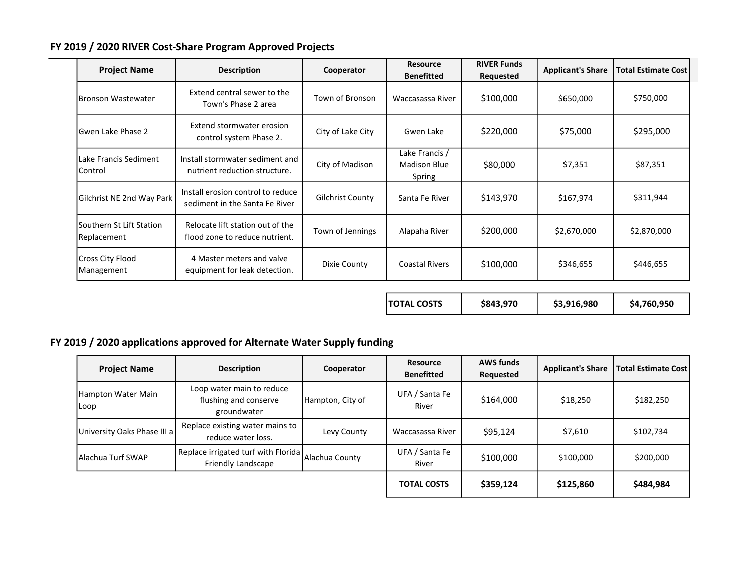## FY 2019 / 2020 RIVER Cost-Share Program Approved Projects

| <b>Project Name</b>                      | <b>Description</b>                                                  | Cooperator              | <b>Resource</b><br><b>Benefitted</b>            | <b>RIVER Funds</b><br>Requested | <b>Applicant's Share</b> | <b>Total Estimate Cost</b> |
|------------------------------------------|---------------------------------------------------------------------|-------------------------|-------------------------------------------------|---------------------------------|--------------------------|----------------------------|
| <b>IBronson Wastewater</b>               | Extend central sewer to the<br>Town's Phase 2 area                  | Town of Bronson         | Waccasassa River                                | \$100,000                       | \$650,000                | \$750,000                  |
| lGwen Lake Phase 2                       | Extend stormwater erosion<br>control system Phase 2.                | City of Lake City       | Gwen Lake                                       | \$220,000                       | \$75,000                 | \$295,000                  |
| Lake Francis Sediment<br>lControl        | Install stormwater sediment and<br>nutrient reduction structure.    | City of Madison         | Lake Francis /<br><b>Madison Blue</b><br>Spring | \$80,000                        | \$7,351                  | \$87,351                   |
| Gilchrist NE 2nd Way Park                | Install erosion control to reduce<br>sediment in the Santa Fe River | <b>Gilchrist County</b> | Santa Fe River                                  | \$143,970                       | \$167,974                | \$311,944                  |
| lSouthern St Lift Station<br>Replacement | Relocate lift station out of the<br>flood zone to reduce nutrient.  | Town of Jennings        | Alapaha River                                   | \$200,000                       | \$2,670,000              | \$2,870,000                |
| Cross City Flood<br>Management           | 4 Master meters and valve<br>equipment for leak detection.          | Dixie County            | <b>Coastal Rivers</b>                           | \$100,000                       | \$346,655                | \$446,655                  |

 $\begin{array}{|c|c|c|c|c|}\n \hline\n \end{array}$  TOTAL COSTS  $\begin{array}{|c|c|c|c|c|}\n \hline\n \end{array}$  \$843,970  $\begin{array}{|c|c|c|c|}\n \hline\n \end{array}$  \$4,760,950

## FY 2019 / 2020 applications approved for Alternate Water Supply funding

| <b>Project Name</b>         | <b>Description</b>                                                | Cooperator       | <b>Resource</b><br><b>Benefitted</b> | <b>AWS funds</b><br>Requested | <b>Applicant's Share</b> | <b>Total Estimate Cost</b> |
|-----------------------------|-------------------------------------------------------------------|------------------|--------------------------------------|-------------------------------|--------------------------|----------------------------|
| Hampton Water Main<br>Loop  | Loop water main to reduce<br>flushing and conserve<br>groundwater | Hampton, City of | UFA / Santa Fe<br>River              | \$164,000                     | \$18,250                 | \$182,250                  |
| University Oaks Phase III a | Replace existing water mains to<br>reduce water loss.             | Levy County      | Waccasassa River                     | \$95,124                      | \$7,610                  | \$102,734                  |
| lAlachua Turf SWAP          | Replace irrigated turf with Florida<br>Friendly Landscape         | Alachua County   | UFA / Santa Fe<br>River              | \$100,000                     | \$100,000                | \$200,000                  |
|                             |                                                                   |                  | <b>TOTAL COSTS</b>                   | \$359,124                     | \$125,860                | \$484,984                  |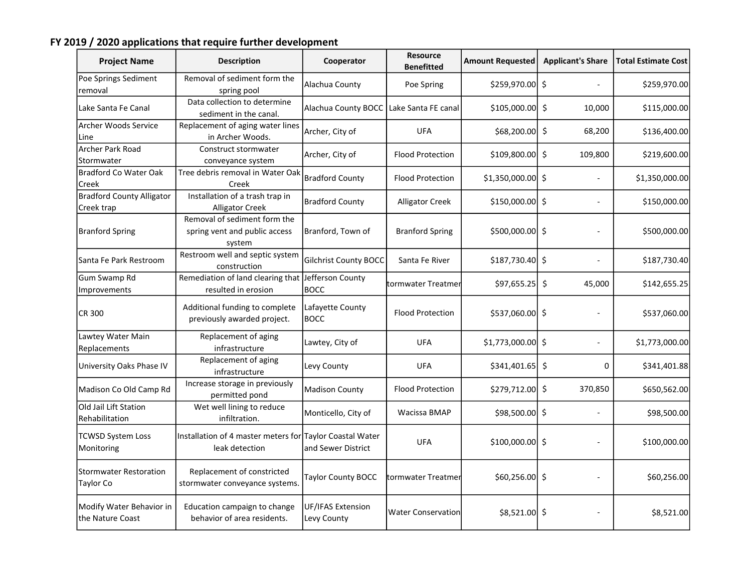## FY 2019 / 2020 applications that require further development

| <b>Project Name</b>                               | <b>Description</b>                                                         | Cooperator                       | <b>Resource</b><br><b>Benefitted</b> | <b>Amount Requested</b> | <b>Applicant's Share</b> | <b>Total Estimate Cost</b> |
|---------------------------------------------------|----------------------------------------------------------------------------|----------------------------------|--------------------------------------|-------------------------|--------------------------|----------------------------|
| Poe Springs Sediment<br>removal                   | Removal of sediment form the<br>spring pool                                | Alachua County                   | Poe Spring                           | $$259,970.00$ \$        |                          | \$259,970.00               |
| Lake Santa Fe Canal                               | Data collection to determine<br>sediment in the canal.                     | Alachua County BOCC              | Lake Santa FE canal                  | $$105,000.00$ \$        | 10,000                   | \$115,000.00]              |
| Archer Woods Service<br>Line                      | Replacement of aging water lines<br>in Archer Woods.                       | Archer, City of                  | <b>UFA</b>                           | $$68,200.00$ \$         | 68,200                   | \$136,400.00               |
| Archer Park Road<br>Stormwater                    | Construct stormwater<br>conveyance system                                  | Archer, City of                  | <b>Flood Protection</b>              | $$109,800.00$ \$        | 109,800                  | \$219,600.00               |
| <b>Bradford Co Water Oak</b><br>Creek             | Tree debris removal in Water Oak<br>Creek                                  | <b>Bradford County</b>           | <b>Flood Protection</b>              | $$1,350,000.00$ \$      |                          | \$1,350,000.00             |
| <b>Bradford County Alligator</b><br>Creek trap    | Installation of a trash trap in<br><b>Alligator Creek</b>                  | <b>Bradford County</b>           | <b>Alligator Creek</b>               | $$150,000.00$ \$        |                          | \$150,000.00               |
| <b>Branford Spring</b>                            | Removal of sediment form the<br>spring vent and public access<br>system    | Branford, Town of                | <b>Branford Spring</b>               | $$500,000.00$ \$        |                          | \$500,000.00               |
| Santa Fe Park Restroom                            | Restroom well and septic system<br>construction                            | <b>Gilchrist County BOCC</b>     | Santa Fe River                       | \$187,730.40\$          |                          | \$187,730.40               |
| <b>Gum Swamp Rd</b><br>Improvements               | Remediation of land clearing that Jefferson County<br>resulted in erosion  | <b>BOCC</b>                      | tormwater Treatmer                   | \$97,655.25             | \$<br>45,000             | \$142,655.25               |
| <b>CR 300</b>                                     | Additional funding to complete<br>previously awarded project.              | Lafayette County<br><b>BOCC</b>  | <b>Flood Protection</b>              | \$537,060.00 \$         |                          | \$537,060.00               |
| Lawtey Water Main<br>Replacements                 | Replacement of aging<br>infrastructure                                     | Lawtey, City of                  | <b>UFA</b>                           | $$1,773,000.00$ \$      |                          | \$1,773,000.00             |
| University Oaks Phase IV                          | Replacement of aging<br>infrastructure                                     | Levy County                      | <b>UFA</b>                           | $$341,401.65$ \$        | 0                        | \$341,401.88               |
| Madison Co Old Camp Rd                            | Increase storage in previously<br>permitted pond                           | <b>Madison County</b>            | <b>Flood Protection</b>              | \$279,712.00 \$         | 370,850                  | \$650,562.00               |
| Old Jail Lift Station<br>Rehabilitation           | Wet well lining to reduce<br>infiltration.                                 | Monticello, City of              | Wacissa BMAP                         | \$98,500.00 \$          |                          | \$98,500.00                |
| <b>TCWSD System Loss</b><br>Monitoring            | Installation of 4 master meters for Taylor Coastal Water<br>leak detection | and Sewer District               | <b>UFA</b>                           | $$100,000.00$ \$        |                          | \$100,000.00               |
| <b>Stormwater Restoration</b><br><b>Taylor Co</b> | Replacement of constricted<br>stormwater conveyance systems.               | Taylor County BOCC               | tormwater Treatmer                   | \$60,256.00 \$          |                          | \$60,256.00                |
| Modify Water Behavior in<br>lthe Nature Coast     | Education campaign to change<br>behavior of area residents.                | UF/IFAS Extension<br>Levy County | <b>Water Conservation</b>            | $$8,521.00$ \$          |                          | \$8,521.00                 |